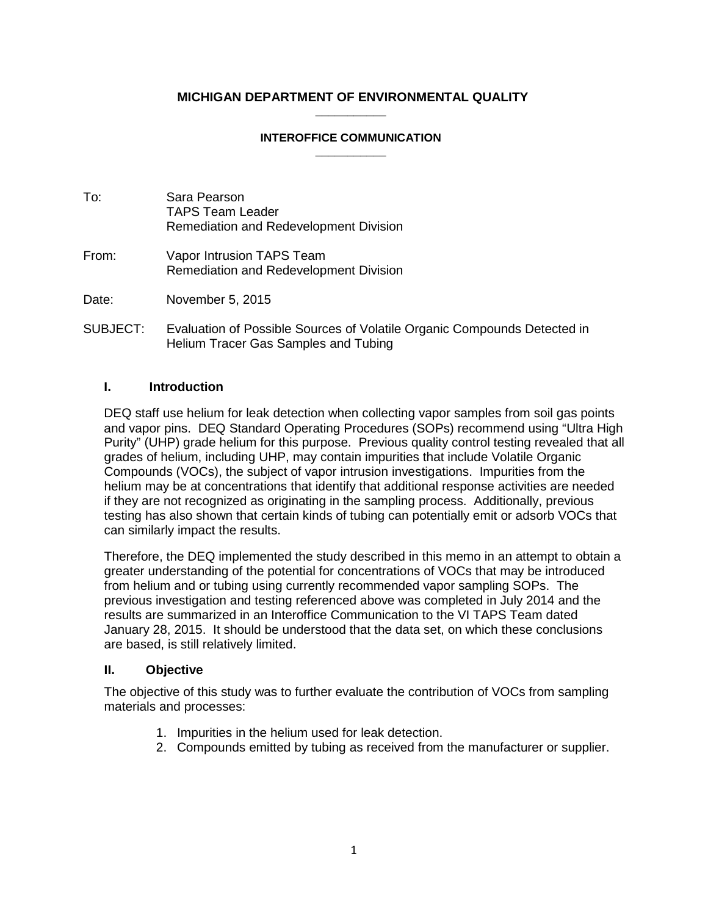#### **MICHIGAN DEPARTMENT OF ENVIRONMENTAL QUALITY \_\_\_\_\_\_\_\_\_\_\_**

#### **INTEROFFICE COMMUNICATION \_\_\_\_\_\_\_\_\_\_\_**

- To: Sara Pearson TAPS Team Leader Remediation and Redevelopment Division
- From: Vapor Intrusion TAPS Team Remediation and Redevelopment Division

Date: November 5, 2015

SUBJECT: Evaluation of Possible Sources of Volatile Organic Compounds Detected in Helium Tracer Gas Samples and Tubing

#### **I. Introduction**

DEQ staff use helium for leak detection when collecting vapor samples from soil gas points and vapor pins. DEQ Standard Operating Procedures (SOPs) recommend using "Ultra High Purity" (UHP) grade helium for this purpose. Previous quality control testing revealed that all grades of helium, including UHP, may contain impurities that include Volatile Organic Compounds (VOCs), the subject of vapor intrusion investigations. Impurities from the helium may be at concentrations that identify that additional response activities are needed if they are not recognized as originating in the sampling process. Additionally, previous testing has also shown that certain kinds of tubing can potentially emit or adsorb VOCs that can similarly impact the results.

Therefore, the DEQ implemented the study described in this memo in an attempt to obtain a greater understanding of the potential for concentrations of VOCs that may be introduced from helium and or tubing using currently recommended vapor sampling SOPs. The previous investigation and testing referenced above was completed in July 2014 and the results are summarized in an Interoffice Communication to the VI TAPS Team dated January 28, 2015. It should be understood that the data set, on which these conclusions are based, is still relatively limited.

#### **II. Objective**

The objective of this study was to further evaluate the contribution of VOCs from sampling materials and processes:

- 1. Impurities in the helium used for leak detection.
- 2. Compounds emitted by tubing as received from the manufacturer or supplier.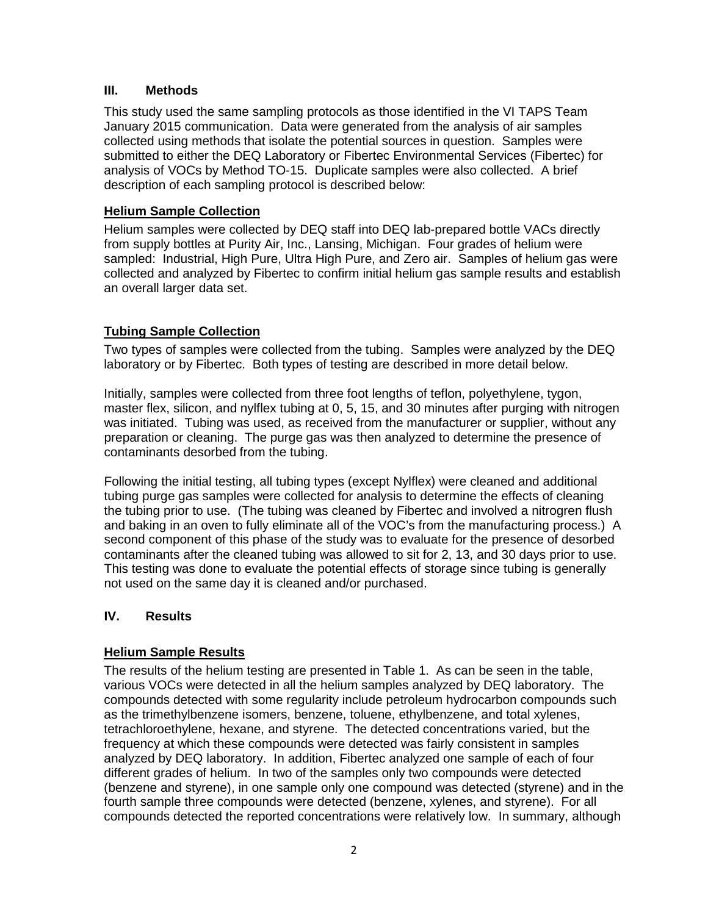#### **III. Methods**

This study used the same sampling protocols as those identified in the VI TAPS Team January 2015 communication. Data were generated from the analysis of air samples collected using methods that isolate the potential sources in question. Samples were submitted to either the DEQ Laboratory or Fibertec Environmental Services (Fibertec) for analysis of VOCs by Method TO-15. Duplicate samples were also collected. A brief description of each sampling protocol is described below:

#### **Helium Sample Collection**

Helium samples were collected by DEQ staff into DEQ lab-prepared bottle VACs directly from supply bottles at Purity Air, Inc., Lansing, Michigan. Four grades of helium were sampled: Industrial, High Pure, Ultra High Pure, and Zero air. Samples of helium gas were collected and analyzed by Fibertec to confirm initial helium gas sample results and establish an overall larger data set.

#### **Tubing Sample Collection**

Two types of samples were collected from the tubing. Samples were analyzed by the DEQ laboratory or by Fibertec. Both types of testing are described in more detail below.

Initially, samples were collected from three foot lengths of teflon, polyethylene, tygon, master flex, silicon, and nylflex tubing at 0, 5, 15, and 30 minutes after purging with nitrogen was initiated. Tubing was used, as received from the manufacturer or supplier, without any preparation or cleaning. The purge gas was then analyzed to determine the presence of contaminants desorbed from the tubing.

Following the initial testing, all tubing types (except Nylflex) were cleaned and additional tubing purge gas samples were collected for analysis to determine the effects of cleaning the tubing prior to use. (The tubing was cleaned by Fibertec and involved a nitrogren flush and baking in an oven to fully eliminate all of the VOC's from the manufacturing process.) A second component of this phase of the study was to evaluate for the presence of desorbed contaminants after the cleaned tubing was allowed to sit for 2, 13, and 30 days prior to use. This testing was done to evaluate the potential effects of storage since tubing is generally not used on the same day it is cleaned and/or purchased.

#### **IV. Results**

#### **Helium Sample Results**

The results of the helium testing are presented in Table 1. As can be seen in the table, various VOCs were detected in all the helium samples analyzed by DEQ laboratory. The compounds detected with some regularity include petroleum hydrocarbon compounds such as the trimethylbenzene isomers, benzene, toluene, ethylbenzene, and total xylenes, tetrachloroethylene, hexane, and styrene. The detected concentrations varied, but the frequency at which these compounds were detected was fairly consistent in samples analyzed by DEQ laboratory. In addition, Fibertec analyzed one sample of each of four different grades of helium. In two of the samples only two compounds were detected (benzene and styrene), in one sample only one compound was detected (styrene) and in the fourth sample three compounds were detected (benzene, xylenes, and styrene). For all compounds detected the reported concentrations were relatively low. In summary, although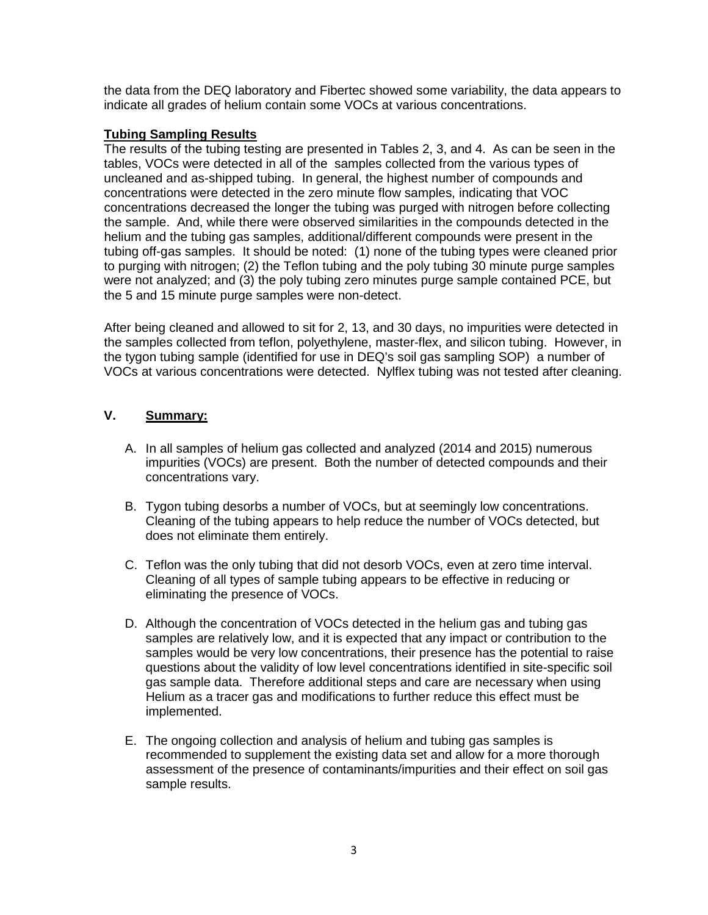the data from the DEQ laboratory and Fibertec showed some variability, the data appears to indicate all grades of helium contain some VOCs at various concentrations.

#### **Tubing Sampling Results**

The results of the tubing testing are presented in Tables 2, 3, and 4. As can be seen in the tables, VOCs were detected in all of the samples collected from the various types of uncleaned and as-shipped tubing. In general, the highest number of compounds and concentrations were detected in the zero minute flow samples, indicating that VOC concentrations decreased the longer the tubing was purged with nitrogen before collecting the sample. And, while there were observed similarities in the compounds detected in the helium and the tubing gas samples, additional/different compounds were present in the tubing off-gas samples. It should be noted: (1) none of the tubing types were cleaned prior to purging with nitrogen; (2) the Teflon tubing and the poly tubing 30 minute purge samples were not analyzed; and (3) the poly tubing zero minutes purge sample contained PCE, but the 5 and 15 minute purge samples were non-detect.

After being cleaned and allowed to sit for 2, 13, and 30 days, no impurities were detected in the samples collected from teflon, polyethylene, master-flex, and silicon tubing. However, in the tygon tubing sample (identified for use in DEQ's soil gas sampling SOP) a number of VOCs at various concentrations were detected. Nylflex tubing was not tested after cleaning.

#### **V. Summary:**

- A. In all samples of helium gas collected and analyzed (2014 and 2015) numerous impurities (VOCs) are present. Both the number of detected compounds and their concentrations vary.
- B. Tygon tubing desorbs a number of VOCs, but at seemingly low concentrations. Cleaning of the tubing appears to help reduce the number of VOCs detected, but does not eliminate them entirely.
- C. Teflon was the only tubing that did not desorb VOCs, even at zero time interval. Cleaning of all types of sample tubing appears to be effective in reducing or eliminating the presence of VOCs.
- D. Although the concentration of VOCs detected in the helium gas and tubing gas samples are relatively low, and it is expected that any impact or contribution to the samples would be very low concentrations, their presence has the potential to raise questions about the validity of low level concentrations identified in site-specific soil gas sample data. Therefore additional steps and care are necessary when using Helium as a tracer gas and modifications to further reduce this effect must be implemented.
- E. The ongoing collection and analysis of helium and tubing gas samples is recommended to supplement the existing data set and allow for a more thorough assessment of the presence of contaminants/impurities and their effect on soil gas sample results.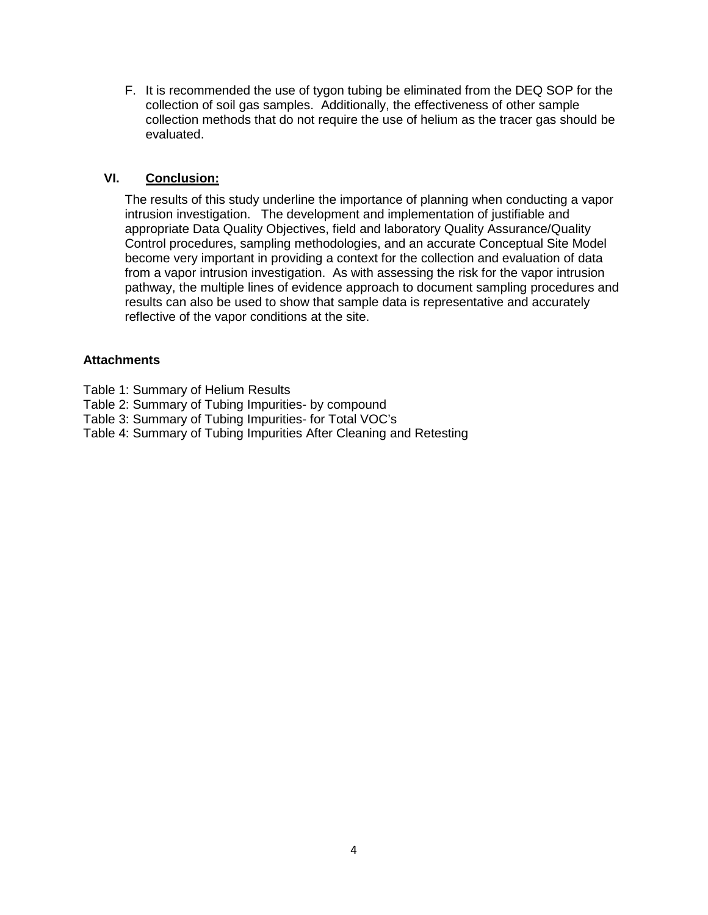F. It is recommended the use of tygon tubing be eliminated from the DEQ SOP for the collection of soil gas samples. Additionally, the effectiveness of other sample collection methods that do not require the use of helium as the tracer gas should be evaluated.

#### **VI. Conclusion:**

The results of this study underline the importance of planning when conducting a vapor intrusion investigation. The development and implementation of justifiable and appropriate Data Quality Objectives, field and laboratory Quality Assurance/Quality Control procedures, sampling methodologies, and an accurate Conceptual Site Model become very important in providing a context for the collection and evaluation of data from a vapor intrusion investigation. As with assessing the risk for the vapor intrusion pathway, the multiple lines of evidence approach to document sampling procedures and results can also be used to show that sample data is representative and accurately reflective of the vapor conditions at the site.

#### **Attachments**

- Table 1: Summary of Helium Results
- Table 2: Summary of Tubing Impurities- by compound
- Table 3: Summary of Tubing Impurities- for Total VOC's
- Table 4: Summary of Tubing Impurities After Cleaning and Retesting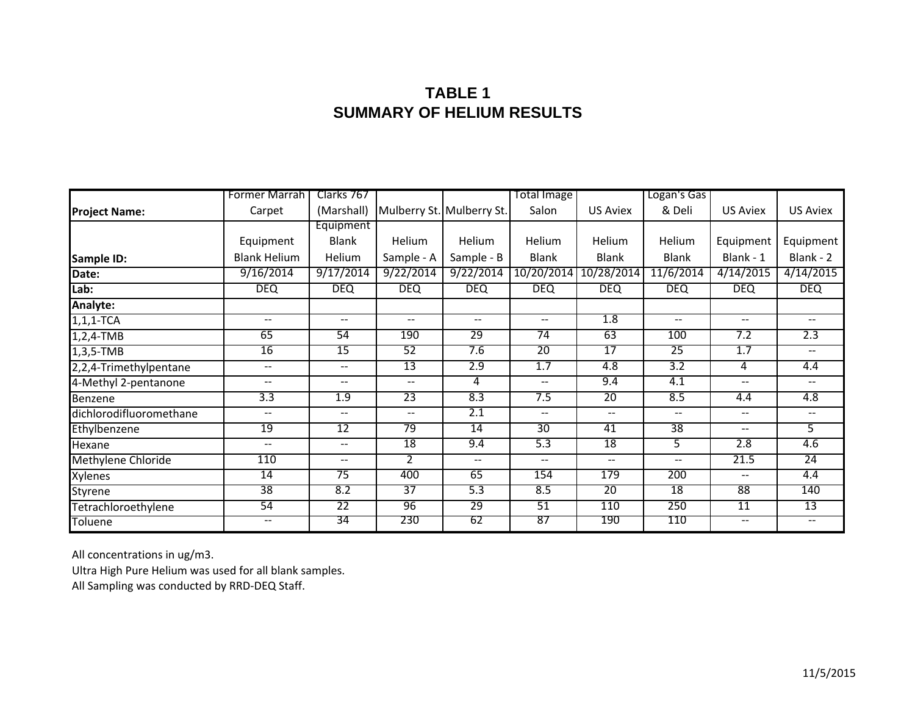### **TABLE 1SUMMARY OF HELIUM RESULTS**

|                         | Former Marrah            | Clarks 767   |                   |                           | Total Image              |                 | Logan's Gas       |                          |                          |  |
|-------------------------|--------------------------|--------------|-------------------|---------------------------|--------------------------|-----------------|-------------------|--------------------------|--------------------------|--|
| <b>Project Name:</b>    | Carpet                   | (Marshall)   |                   | Mulberry St. Mulberry St. | Salon                    | <b>US Aviex</b> | & Deli            | <b>US Aviex</b>          | <b>US Aviex</b>          |  |
|                         |                          | Equipment    |                   |                           |                          |                 |                   |                          |                          |  |
|                         | Equipment                | <b>Blank</b> | Helium            | Helium                    | Helium                   | Helium          | Helium            | Equipment                | Equipment                |  |
| Sample ID:              | <b>Blank Helium</b>      | Helium       | Sample - A        | Sample - B                | <b>Blank</b>             | <b>Blank</b>    | <b>Blank</b>      | Blank - 1                | Blank - 2                |  |
| Date:                   | 9/16/2014                | 9/17/2014    | 9/22/2014         | 9/22/2014                 | 10/20/2014               | 10/28/2014      | 11/6/2014         | 4/14/2015                | 4/14/2015                |  |
| Lab:                    | <b>DEQ</b>               | <b>DEQ</b>   | <b>DEQ</b>        | <b>DEQ</b>                | <b>DEQ</b>               | DEQ.            | <b>DEQ</b>        | <b>DEQ</b>               | <b>DEQ</b>               |  |
| Analyte:                |                          |              |                   |                           |                          |                 |                   |                          |                          |  |
| $1, 1, 1$ -TCA          | $\overline{\phantom{m}}$ | $- -$        | $\qquad \qquad -$ | $- -$                     | $- -$                    | 1.8             | $\qquad \qquad -$ | $\overline{\phantom{m}}$ | $\overline{\phantom{a}}$ |  |
| $1,2,4$ -TMB            | 65                       | 54           | 190               | 29                        | 74                       | 63              | 100               | 7.2                      | 2.3                      |  |
| $1,3,5-TMB$             | 16                       | 15           | 52                | 7.6                       | $\overline{20}$          | 17              | $\overline{25}$   | 1.7                      | $\qquad \qquad -$        |  |
| 2,2,4-Trimethylpentane  | $\overline{\phantom{m}}$ | --           | 13                | 2.9                       | 1.7                      | 4.8             | 3.2               | 4                        | 4.4                      |  |
| 4-Methyl 2-pentanone    | $\mathbf{u}$             | $- -$        | $\mathbf{u}$      | 4                         | $\overline{\phantom{a}}$ | 9.4             | 4.1               | $\overline{\phantom{a}}$ | $--$                     |  |
| Benzene                 | 3.3                      | 1.9          | 23                | 8.3                       | 7.5                      | $\overline{20}$ | 8.5               | 4.4                      | 4.8                      |  |
| dichlorodifluoromethane | $- -$                    | $-$          | $- -$             | 2.1                       | $-$                      | $-$             | $- -$             | $-$                      | $- -$                    |  |
| Ethylbenzene            | 19                       | 12           | 79                | $\overline{14}$           | 30                       | 41              | 38                | $-$                      | 5                        |  |
| Hexane                  | $\overline{\phantom{a}}$ | $\mathbf{u}$ | $\overline{18}$   | 9.4                       | 5.3                      | 18              | 5.                | 2.8                      | 4.6                      |  |
| Methylene Chloride      | 110                      | $-$          | $\overline{2}$    | $-$                       | $- -$                    | $- -$           | $- -$             | 21.5                     | $\overline{24}$          |  |
| Xylenes                 | 14                       | 75           | 400               | 65                        | 154                      | 179             | 200               | $- -$                    | 4.4                      |  |
| Styrene                 | $\overline{38}$          | 8.2          | $\overline{37}$   | 5.3                       | 8.5                      | $\overline{20}$ | $\overline{18}$   | $\overline{88}$          | 140                      |  |
| Tetrachloroethylene     | 54                       | 22           | 96                | 29                        | 51                       | 110             | 250               | 11                       | 13                       |  |
| Toluene                 | $\sim$ $\sim$            | 34           | 230               | 62                        | 87                       | 190             | 110               | $\overline{\phantom{a}}$ | $\overline{\phantom{m}}$ |  |

All concentrations in ug/m3.

Ultra High Pure Helium was used for all blank samples.

All Sampling was conducted by RRD‐DEQ Staff.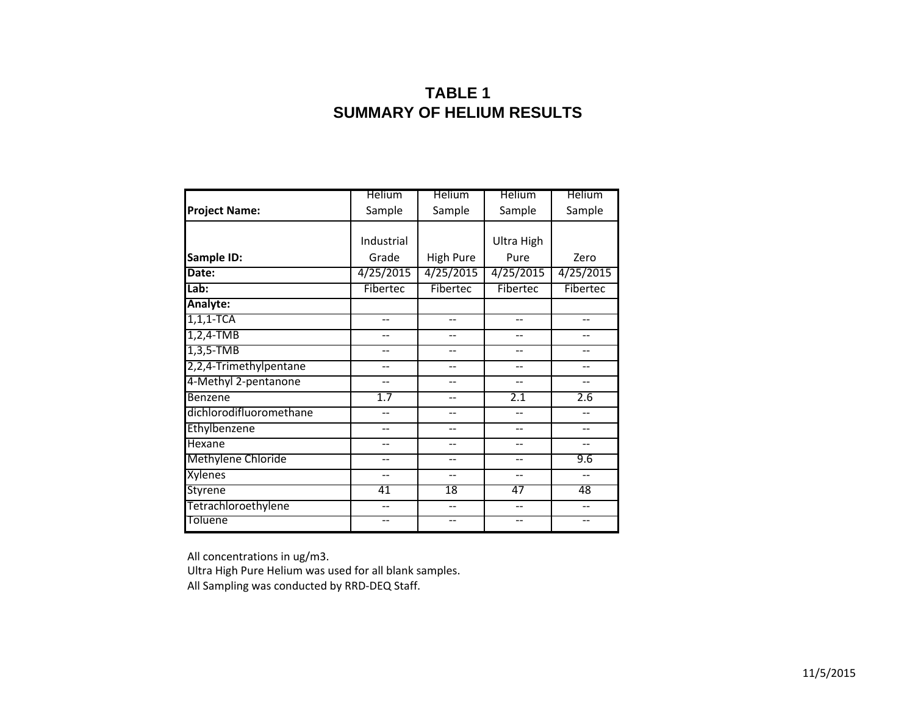### **TABLE 1SUMMARY OF HELIUM RESULTS**

|                           | Helium     | <b>Helium</b>    | Helium     | Helium    |
|---------------------------|------------|------------------|------------|-----------|
| <b>Project Name:</b>      | Sample     | Sample           | Sample     | Sample    |
|                           | Industrial |                  |            |           |
|                           |            |                  | Ultra High |           |
| Sample ID:                | Grade      | <b>High Pure</b> | Pure       | Zero      |
| Date:                     | 4/25/2015  | 4/25/2015        | 4/25/2015  | 4/25/2015 |
| Lab:                      | Fibertec   | Fibertec         | Fibertec   | Fibertec  |
| Analyte:                  |            |                  |            |           |
| $1, 1, 1$ -TCA            | $-$        | --               | --         | --        |
| $1,2,4$ -TMB              |            |                  |            |           |
| $1,3,5-TMB$               | --         |                  | $-$        |           |
| 2,2,4-Trimethylpentane    | --         | --               | --         |           |
| 4-Methyl 2-pentanone      | --         |                  | --         |           |
| Benzene                   | 1.7        |                  | 2.1        | 2.6       |
| dichlorodifluoromethane   |            | --               |            |           |
| Ethylbenzene              | --         | --               | $-$        |           |
| Hexane                    |            |                  |            |           |
| <b>Methylene Chloride</b> |            |                  |            | 9.6       |
| Xylenes                   | --         | --               | $-$        | $-$       |
| <b>Styrene</b>            | 41         | 18               | 47         | 48        |
| Tetrachloroethylene       |            |                  |            |           |
| Toluene                   |            |                  | --         |           |

All concentrations in ug/m3.

Ultra High Pure Helium was used for all blank samples.

All Sampling was conducted by RRD‐DEQ Staff.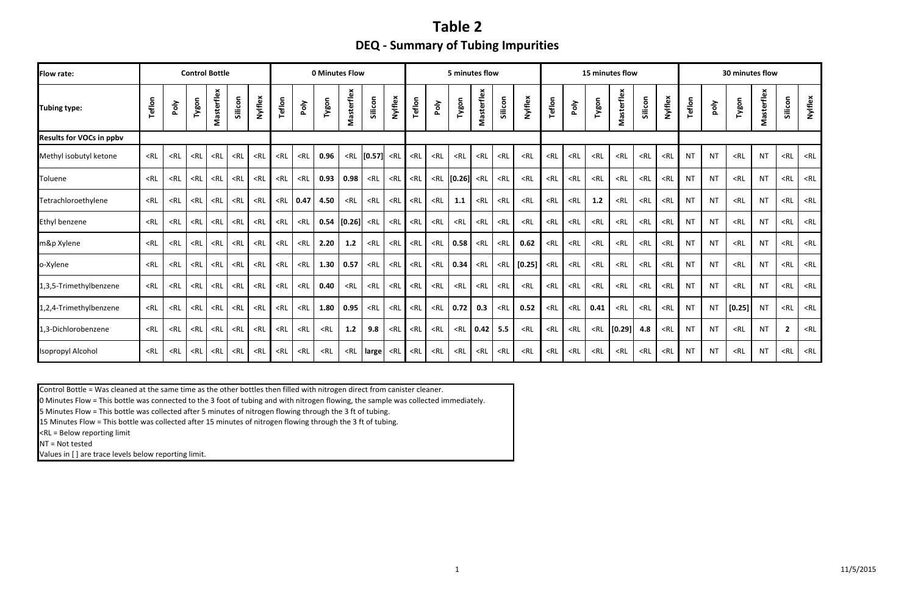## **Table 2 DEQ ‐ Summary of Tubing Impurities**

| <b>Flow rate:</b>               |                                                                                                                                                                                                                                                                                                                                                                                                                                                                                                                                                                                                                                                                                                                                                                                                                  |        |        | <b>Control Bottle</b> |         |         |        |        | <b>0 Minutes Flow</b>                                                                                                                                                                                                                                                                                                                                                                                                                                                                                                                                                   |                                                                                                                                                                                                                                                                                                                                                                                                                                                                                                                                               |                    |         |        | 5 minutes flow<br>15 minutes flow |        |            |         |         | 30 minutes flow |        |        |                                                                                                                                                                                                               |                                                                                                                                                                                     |                                                                                                                                                           |           |           |                                                                                             |            |                |         |
|---------------------------------|------------------------------------------------------------------------------------------------------------------------------------------------------------------------------------------------------------------------------------------------------------------------------------------------------------------------------------------------------------------------------------------------------------------------------------------------------------------------------------------------------------------------------------------------------------------------------------------------------------------------------------------------------------------------------------------------------------------------------------------------------------------------------------------------------------------|--------|--------|-----------------------|---------|---------|--------|--------|-------------------------------------------------------------------------------------------------------------------------------------------------------------------------------------------------------------------------------------------------------------------------------------------------------------------------------------------------------------------------------------------------------------------------------------------------------------------------------------------------------------------------------------------------------------------------|-----------------------------------------------------------------------------------------------------------------------------------------------------------------------------------------------------------------------------------------------------------------------------------------------------------------------------------------------------------------------------------------------------------------------------------------------------------------------------------------------------------------------------------------------|--------------------|---------|--------|-----------------------------------|--------|------------|---------|---------|-----------------|--------|--------|---------------------------------------------------------------------------------------------------------------------------------------------------------------------------------------------------------------|-------------------------------------------------------------------------------------------------------------------------------------------------------------------------------------|-----------------------------------------------------------------------------------------------------------------------------------------------------------|-----------|-----------|---------------------------------------------------------------------------------------------|------------|----------------|---------|
| Tubing type:                    | Teflon                                                                                                                                                                                                                                                                                                                                                                                                                                                                                                                                                                                                                                                                                                                                                                                                           | Poly   | Tygon  | Masterflex            | Silicon | Nylflex | Teflon | Poly   | Tygon                                                                                                                                                                                                                                                                                                                                                                                                                                                                                                                                                                   | Masterflex                                                                                                                                                                                                                                                                                                                                                                                                                                                                                                                                    | Silicon            | Nylflex | Teflon | Poly                              | Tygon  | Masterflex | Silicon | Nylflex | Teflon          | Poly   | Tygon  | Masterflex                                                                                                                                                                                                    | Silicon                                                                                                                                                                             | Nylflex                                                                                                                                                   | Teflon    | poly      | Tygon                                                                                       | Masterflex | Silicon        | Nylflex |
| <b>Results for VOCs in ppbv</b> |                                                                                                                                                                                                                                                                                                                                                                                                                                                                                                                                                                                                                                                                                                                                                                                                                  |        |        |                       |         |         |        |        |                                                                                                                                                                                                                                                                                                                                                                                                                                                                                                                                                                         |                                                                                                                                                                                                                                                                                                                                                                                                                                                                                                                                               |                    |         |        |                                   |        |            |         |         |                 |        |        |                                                                                                                                                                                                               |                                                                                                                                                                                     |                                                                                                                                                           |           |           |                                                                                             |            |                |         |
| Methyl isobutyl ketone          | $<$ RL                                                                                                                                                                                                                                                                                                                                                                                                                                                                                                                                                                                                                                                                                                                                                                                                           | $<$ RL | $<$ RL | $<$ RL                | $<$ RL  | $<$ RL  | $<$ RL | $<$ RL | 0.96                                                                                                                                                                                                                                                                                                                                                                                                                                                                                                                                                                    |                                                                                                                                                                                                                                                                                                                                                                                                                                                                                                                                               | $\text{RL}$ [0.57] | $<$ RL  | $<$ RL | $<$ RL                            | $<$ RL | $<$ RL     | $<$ RL  | $<$ RL  | $<$ RL          | $<$ RL | $<$ RL | $<$ RL                                                                                                                                                                                                        | $<$ RL                                                                                                                                                                              | $<$ RL                                                                                                                                                    | <b>NT</b> | <b>NT</b> | $<$ RL                                                                                      | <b>NT</b>  | $<$ RL         | $<$ RL  |
| Toluene                         | $<$ RL                                                                                                                                                                                                                                                                                                                                                                                                                                                                                                                                                                                                                                                                                                                                                                                                           | $<$ RL | $<$ RL | $<$ RL                | $<$ RL  | $<$ RL  | $<$ RL | $<$ RL | 0.93                                                                                                                                                                                                                                                                                                                                                                                                                                                                                                                                                                    | 0.98                                                                                                                                                                                                                                                                                                                                                                                                                                                                                                                                          | $<$ RL             | $<$ RL  | $<$ RL | $<$ RL                            | [0.26] | $<$ RL     | $<$ RL  | $<$ RL  | $<$ RL          | $<$ RL | $<$ RL | $<$ RL                                                                                                                                                                                                        | $<$ RL                                                                                                                                                                              | $<$ RL                                                                                                                                                    | <b>NT</b> | <b>NT</b> | $<$ RL                                                                                      | <b>NT</b>  | $<$ RL         | $<$ RL  |
| Tetrachloroethylene             | $<$ RL                                                                                                                                                                                                                                                                                                                                                                                                                                                                                                                                                                                                                                                                                                                                                                                                           | $<$ RL | $<$ RL | $<$ RL                | $<$ RL  | $<$ RL  | $<$ RL | 0.47   | 4.50                                                                                                                                                                                                                                                                                                                                                                                                                                                                                                                                                                    | $<$ RL                                                                                                                                                                                                                                                                                                                                                                                                                                                                                                                                        | $<$ RL             | $<$ RL  | $<$ RL | $<$ RL                            | 1.1    | $<$ RL     | $<$ RL  | $<$ RL  | $<$ RL          | $<$ RL | 1.2    | $<$ RL                                                                                                                                                                                                        | $<$ RL                                                                                                                                                                              | $<$ RL                                                                                                                                                    | <b>NT</b> | <b>NT</b> | $<$ RL                                                                                      | <b>NT</b>  | $<$ RL         | $<$ RL  |
| Ethyl benzene                   | <rl< td=""><td><math>&lt;</math>RL</td><td><math>&lt;</math>RL</td><td><math>&lt;</math>RL</td><td><math>&lt;</math>RL</td><td><math>&lt;</math>RL</td><td><math>&lt;</math>RL</td><td><math>&lt;</math>RL</td><td>0.54</td><td>[0.26]</td><td><math>&lt;</math>RL</td><td><math>&lt;</math>RL</td><td><math>&lt;</math>RL</td><td><math>&lt;</math>RL</td><td><math>&lt;</math>RL</td><td><math>&lt;</math>RL</td><td><math>&lt;</math>RL</td><td><math>&lt;</math>RL</td><td><math>&lt;</math>RL</td><td><math>&lt;</math>RL</td><td><math>&lt;</math>RL</td><td><math>&lt;</math>RL</td><td><math>&lt;</math>RL</td><td><math>&lt;</math>RL</td><td><b>NT</b></td><td><b>NT</b></td><td><math>&lt;</math>RL</td><td><b>NT</b></td><td><math>&lt;</math>RL</td><td><math>&lt;</math>RL</td></rl<>              | $<$ RL | $<$ RL | $<$ RL                | $<$ RL  | $<$ RL  | $<$ RL | $<$ RL | 0.54                                                                                                                                                                                                                                                                                                                                                                                                                                                                                                                                                                    | [0.26]                                                                                                                                                                                                                                                                                                                                                                                                                                                                                                                                        | $<$ RL             | $<$ RL  | $<$ RL | $<$ RL                            | $<$ RL | $<$ RL     | $<$ RL  | $<$ RL  | $<$ RL          | $<$ RL | $<$ RL | $<$ RL                                                                                                                                                                                                        | $<$ RL                                                                                                                                                                              | $<$ RL                                                                                                                                                    | <b>NT</b> | <b>NT</b> | $<$ RL                                                                                      | <b>NT</b>  | $<$ RL         | $<$ RL  |
| m&p Xylene                      | $<$ RL                                                                                                                                                                                                                                                                                                                                                                                                                                                                                                                                                                                                                                                                                                                                                                                                           | $<$ RL | $<$ RL | $<$ RL                | $<$ RL  | $<$ RL  | $<$ RL | $<$ RL | 2.20                                                                                                                                                                                                                                                                                                                                                                                                                                                                                                                                                                    | 1.2                                                                                                                                                                                                                                                                                                                                                                                                                                                                                                                                           | $<$ RL             | $<$ RL  | $<$ RL | $<$ RL                            | 0.58   | $<$ RL     | $<$ RL  | 0.62    | $<$ RL          | $<$ RL | $<$ RL | $<$ RL                                                                                                                                                                                                        | $<$ RL                                                                                                                                                                              | $<$ RL                                                                                                                                                    | <b>NT</b> | <b>NT</b> | $<$ RL                                                                                      | <b>NT</b>  | $<$ RL         | $<$ RL  |
| o-Xylene                        | $<$ RL                                                                                                                                                                                                                                                                                                                                                                                                                                                                                                                                                                                                                                                                                                                                                                                                           | $<$ RL | $<$ RL | $<$ RL                | $<$ RL  | $<$ RL  | $<$ RL | $<$ RL | 1.30                                                                                                                                                                                                                                                                                                                                                                                                                                                                                                                                                                    | 0.57                                                                                                                                                                                                                                                                                                                                                                                                                                                                                                                                          | $<$ RL             | $<$ RL  | $<$ RL | $<$ RL                            | 0.34   | $<$ RL     | $<$ RL  | [0.25]  | $<$ RL          | $<$ RL | $<$ RL | $<$ RL                                                                                                                                                                                                        | $<$ RL                                                                                                                                                                              | $<$ RL                                                                                                                                                    | <b>NT</b> | <b>NT</b> | $<$ RL                                                                                      | <b>NT</b>  | $<$ RL         | $<$ RL  |
| 1,3,5-Trimethylbenzene          | <rl< td=""><td><math>&lt;</math>RL</td><td><math>&lt;</math>RL</td><td><math>&lt;</math>RL</td><td><math>&lt;</math>RL</td><td><math>&lt;</math>RL</td><td><math>&lt;</math>RL</td><td><math>&lt;</math>RL</td><td>0.40</td><td><math>&lt;</math>RL</td><td><math>&lt;</math>RL</td><td><math>&lt;</math>RL</td><td><math>&lt;</math>RL</td><td><math>&lt;</math>RL</td><td><math>&lt;</math>RL</td><td><math>&lt;</math>RL</td><td><math>&lt;</math>RL</td><td><math>&lt;</math>RL</td><td><math>&lt;</math>RL</td><td><math>&lt;</math>RL</td><td><math>&lt;</math>RL</td><td><math>&lt;</math>RL</td><td><math>&lt;</math>RL</td><td><math>&lt;</math>RL</td><td><b>NT</b></td><td><b>NT</b></td><td><math>&lt;</math>RL</td><td><b>NT</b></td><td><math>&lt;</math>RL</td><td><math>&lt;</math>RL</td></rl<> | $<$ RL | $<$ RL | $<$ RL                | $<$ RL  | $<$ RL  | $<$ RL | $<$ RL | 0.40                                                                                                                                                                                                                                                                                                                                                                                                                                                                                                                                                                    | $<$ RL                                                                                                                                                                                                                                                                                                                                                                                                                                                                                                                                        | $<$ RL             | $<$ RL  | $<$ RL | $<$ RL                            | $<$ RL | $<$ RL     | $<$ RL  | $<$ RL  | $<$ RL          | $<$ RL | $<$ RL | $<$ RL                                                                                                                                                                                                        | $<$ RL                                                                                                                                                                              | $<$ RL                                                                                                                                                    | <b>NT</b> | <b>NT</b> | $<$ RL                                                                                      | <b>NT</b>  | $<$ RL         | $<$ RL  |
| 1,2,4-Trimethylbenzene          | <rl< td=""><td><math>&lt;</math>RL</td><td><math>&lt;</math>RL</td><td><math>&lt;</math>RL</td><td><math>&lt;</math>RL</td><td><math>&lt;</math>RL</td><td><math>&lt;</math>RL</td><td><math>&lt;</math>RL</td><td>1.80</td><td>0.95</td><td><math>&lt;</math>RL</td><td><math>&lt;</math>RL</td><td><math>&lt;</math>RL</td><td><math>&lt;</math>RL</td><td>0.72</td><td>0.3</td><td><math>&lt;</math>RL</td><td>0.52</td><td><math>&lt;</math>RL</td><td><math>&lt;</math>RL</td><td>0.41</td><td><math>&lt;</math>RL</td><td><math>&lt;</math>RL</td><td><math>&lt;</math>RL</td><td><b>NT</b></td><td><b>NT</b></td><td>[0.25]</td><td><b>NT</b></td><td><math>&lt;</math>RL</td><td><math>&lt;</math>RL</td></rl<>                                                                                          | $<$ RL | $<$ RL | $<$ RL                | $<$ RL  | $<$ RL  | $<$ RL | $<$ RL | 1.80                                                                                                                                                                                                                                                                                                                                                                                                                                                                                                                                                                    | 0.95                                                                                                                                                                                                                                                                                                                                                                                                                                                                                                                                          | $<$ RL             | $<$ RL  | $<$ RL | $<$ RL                            | 0.72   | 0.3        | $<$ RL  | 0.52    | $<$ RL          | $<$ RL | 0.41   | $<$ RL                                                                                                                                                                                                        | $<$ RL                                                                                                                                                                              | $<$ RL                                                                                                                                                    | <b>NT</b> | <b>NT</b> | [0.25]                                                                                      | <b>NT</b>  | $<$ RL         | $<$ RL  |
| 1,3-Dichlorobenzene             | $<$ RL                                                                                                                                                                                                                                                                                                                                                                                                                                                                                                                                                                                                                                                                                                                                                                                                           | $<$ RL | $<$ RL | $<$ RL                | $<$ RL  | $<$ RL  | $<$ RL | $<$ RL | $<$ RL                                                                                                                                                                                                                                                                                                                                                                                                                                                                                                                                                                  | 1.2                                                                                                                                                                                                                                                                                                                                                                                                                                                                                                                                           | 9.8                | $<$ RL  | $<$ RL | $<$ RL                            | $<$ RL | 0.42       | 5.5     | $<$ RL  | $<$ RL          | $<$ RL | $<$ RL | [0.29]                                                                                                                                                                                                        | 4.8                                                                                                                                                                                 | $<$ RL                                                                                                                                                    | <b>NT</b> | <b>NT</b> | $<$ RL                                                                                      | <b>NT</b>  | $\overline{2}$ | $<$ RL  |
| <b>Isopropyl Alcohol</b>        | <rl< td=""><td><math>&lt;</math>RL</td><td><math>&lt;</math>RL</td><td><math>&lt;</math>RL</td><td><math>&lt;</math>RL</td><td><math>&lt;</math>RL</td><td><math>&lt;</math>RL</td><td><math>&lt;</math>RL</td><td><rl< td=""><td><rl< td=""><td>large</td><td><math>&lt;</math>RL</td><td><math>&lt;</math>RL</td><td><math>&lt;</math>RL</td><td><math>&lt;</math>RL</td><td><math>&lt;</math>RL</td><td><math>&lt;</math>RL</td><td><math>&lt;</math>RL</td><td><math>&lt;</math>RL</td><td><math>&lt;</math>RL</td><td><math>&lt;</math>RL</td><td><rl< td=""><td><rl< td=""><td><rl< td=""><td><b>NT</b></td><td><b>NT</b></td><td><rl< td=""><td><b>NT</b></td><td><math>&lt;</math>RL</td><td><math>&lt;</math>RL</td></rl<></td></rl<></td></rl<></td></rl<></td></rl<></td></rl<></td></rl<>            | $<$ RL | $<$ RL | $<$ RL                | $<$ RL  | $<$ RL  | $<$ RL | $<$ RL | <rl< td=""><td><rl< td=""><td>large</td><td><math>&lt;</math>RL</td><td><math>&lt;</math>RL</td><td><math>&lt;</math>RL</td><td><math>&lt;</math>RL</td><td><math>&lt;</math>RL</td><td><math>&lt;</math>RL</td><td><math>&lt;</math>RL</td><td><math>&lt;</math>RL</td><td><math>&lt;</math>RL</td><td><math>&lt;</math>RL</td><td><rl< td=""><td><rl< td=""><td><rl< td=""><td><b>NT</b></td><td><b>NT</b></td><td><rl< td=""><td><b>NT</b></td><td><math>&lt;</math>RL</td><td><math>&lt;</math>RL</td></rl<></td></rl<></td></rl<></td></rl<></td></rl<></td></rl<> | <rl< td=""><td>large</td><td><math>&lt;</math>RL</td><td><math>&lt;</math>RL</td><td><math>&lt;</math>RL</td><td><math>&lt;</math>RL</td><td><math>&lt;</math>RL</td><td><math>&lt;</math>RL</td><td><math>&lt;</math>RL</td><td><math>&lt;</math>RL</td><td><math>&lt;</math>RL</td><td><math>&lt;</math>RL</td><td><rl< td=""><td><rl< td=""><td><rl< td=""><td><b>NT</b></td><td><b>NT</b></td><td><rl< td=""><td><b>NT</b></td><td><math>&lt;</math>RL</td><td><math>&lt;</math>RL</td></rl<></td></rl<></td></rl<></td></rl<></td></rl<> | large              | $<$ RL  | $<$ RL | $<$ RL                            | $<$ RL | $<$ RL     | $<$ RL  | $<$ RL  | $<$ RL          | $<$ RL | $<$ RL | <rl< td=""><td><rl< td=""><td><rl< td=""><td><b>NT</b></td><td><b>NT</b></td><td><rl< td=""><td><b>NT</b></td><td><math>&lt;</math>RL</td><td><math>&lt;</math>RL</td></rl<></td></rl<></td></rl<></td></rl<> | <rl< td=""><td><rl< td=""><td><b>NT</b></td><td><b>NT</b></td><td><rl< td=""><td><b>NT</b></td><td><math>&lt;</math>RL</td><td><math>&lt;</math>RL</td></rl<></td></rl<></td></rl<> | <rl< td=""><td><b>NT</b></td><td><b>NT</b></td><td><rl< td=""><td><b>NT</b></td><td><math>&lt;</math>RL</td><td><math>&lt;</math>RL</td></rl<></td></rl<> | <b>NT</b> | <b>NT</b> | <rl< td=""><td><b>NT</b></td><td><math>&lt;</math>RL</td><td><math>&lt;</math>RL</td></rl<> | <b>NT</b>  | $<$ RL         | $<$ RL  |

0 Minutes Flow <sup>=</sup> This bottle was connected to the 3 foot of tubing and with nitrogen flowing, the sample was collected immediately.

5 Minutes Flow <sup>=</sup> This bottle was collected after 5 minutes of nitrogen flowing through the 3 ft of tubing.

15 Minutes Flow <sup>=</sup> This bottle was collected after 15 minutes of nitrogen flowing through the 3 ft of tubing.

Values in [ ] are trace levels below reporting limit.

NT <sup>=</sup> Not tested

Control Bottle <sup>=</sup> Was cleaned at the same time as the other bottles then filled with nitrogen direct from canister cleaner.

<RL <sup>=</sup> Below reporting limit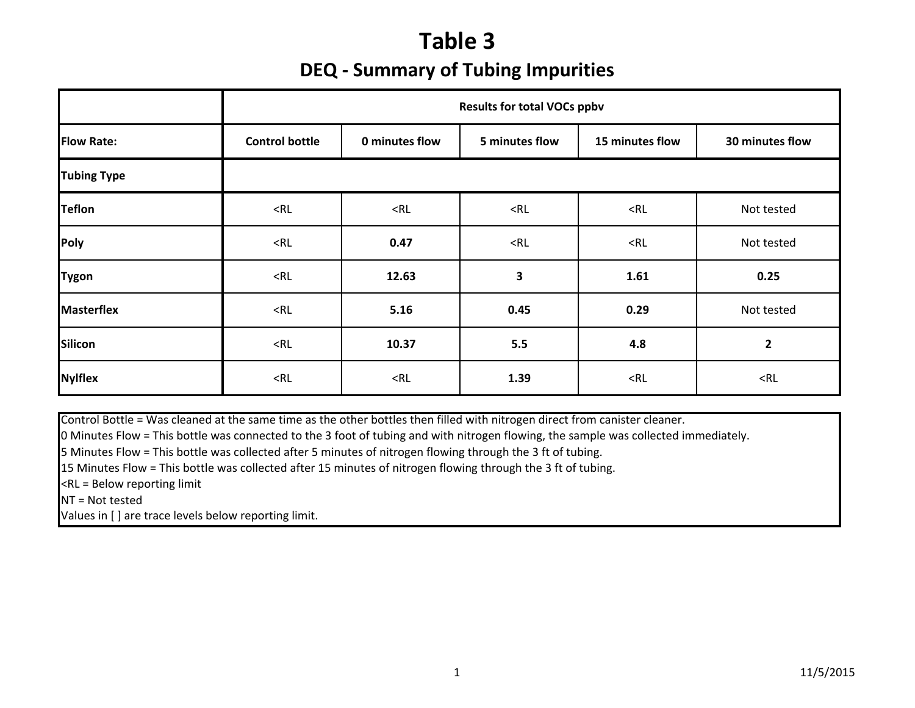# **Table 3 DEQ ‐ Summary of Tubing Impurities**

|                    | <b>Results for total VOCs ppbv</b> |                |                |                 |                 |  |  |  |  |  |  |  |
|--------------------|------------------------------------|----------------|----------------|-----------------|-----------------|--|--|--|--|--|--|--|
| <b>Flow Rate:</b>  | <b>Control bottle</b>              | 0 minutes flow | 5 minutes flow | 15 minutes flow | 30 minutes flow |  |  |  |  |  |  |  |
| <b>Tubing Type</b> |                                    |                |                |                 |                 |  |  |  |  |  |  |  |
| <b>Teflon</b>      | $<$ RL                             | $<$ RL         | $<$ RL         | $<$ RL          | Not tested      |  |  |  |  |  |  |  |
| Poly               | $<$ RL                             | 0.47           | $<$ RL         | $<$ RL          | Not tested      |  |  |  |  |  |  |  |
| <b>Tygon</b>       | $<$ RL                             | 12.63          | 3              | 1.61            | 0.25            |  |  |  |  |  |  |  |
| <b>Masterflex</b>  | $<$ RL                             | 5.16           | 0.45           | 0.29            | Not tested      |  |  |  |  |  |  |  |
| <b>Silicon</b>     | $<$ RL                             | 10.37          | 5.5            | 4.8             | $\mathbf{2}$    |  |  |  |  |  |  |  |
| <b>Nylflex</b>     | $<$ RL                             | $<$ RL         | 1.39           | $<$ RL          | $<$ RL          |  |  |  |  |  |  |  |

Control Bottle <sup>=</sup> Was cleaned at the same time as the other bottles then filled with nitrogen direct from canister cleaner.

0 Minutes Flow <sup>=</sup> This bottle was connected to the 3 foot of tubing and with nitrogen flowing, the sample was collected immediately.

5 Minutes Flow <sup>=</sup> This bottle was collected after 5 minutes of nitrogen flowing through the 3 ft of tubing.

15 Minutes Flow <sup>=</sup> This bottle was collected after 15 minutes of nitrogen flowing through the 3 ft of tubing.

<RL <sup>=</sup> Below reporting limit

NT <sup>=</sup> Not tested

Values in [ ] are trace levels below reporting limit.